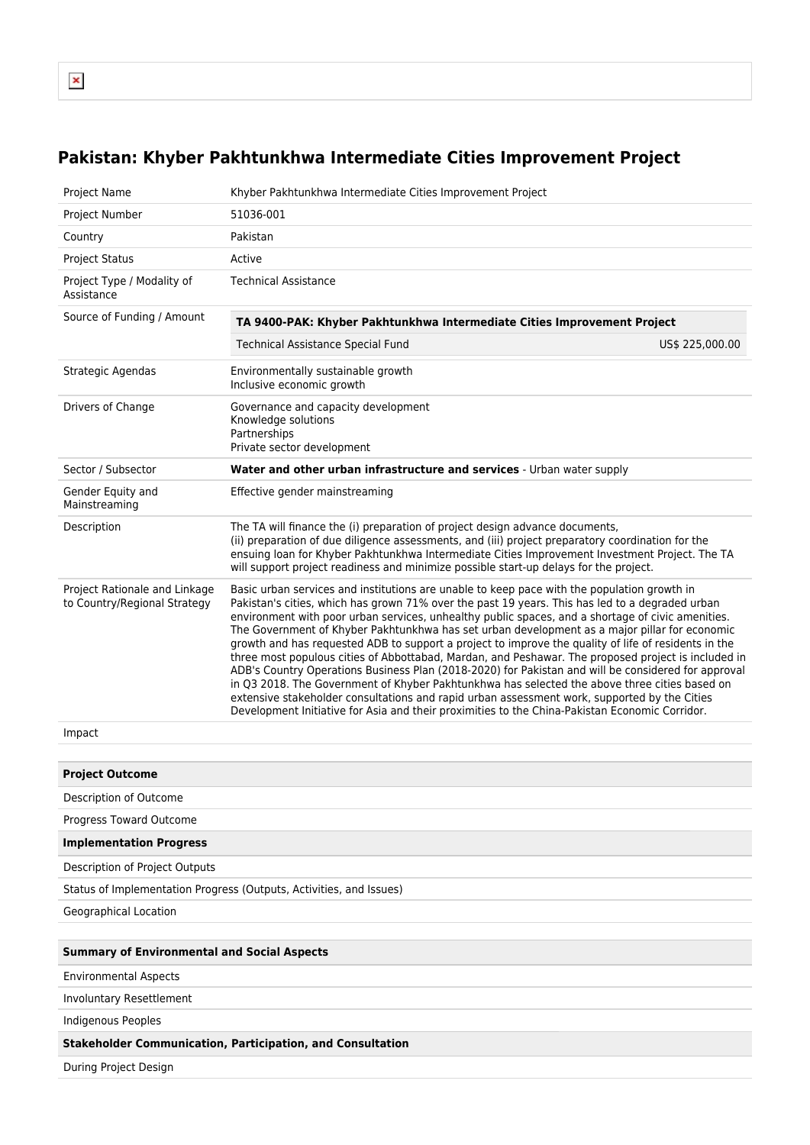## **Pakistan: Khyber Pakhtunkhwa Intermediate Cities Improvement Project**

| Project Name                                                  | Khyber Pakhtunkhwa Intermediate Cities Improvement Project                                                                                                                                                                                                                                                                                                                                                                                                                                                                                                                                                                                                                                                                                                                                                                                                                                                                                                                                                                    |  |  |  |  |  |  |
|---------------------------------------------------------------|-------------------------------------------------------------------------------------------------------------------------------------------------------------------------------------------------------------------------------------------------------------------------------------------------------------------------------------------------------------------------------------------------------------------------------------------------------------------------------------------------------------------------------------------------------------------------------------------------------------------------------------------------------------------------------------------------------------------------------------------------------------------------------------------------------------------------------------------------------------------------------------------------------------------------------------------------------------------------------------------------------------------------------|--|--|--|--|--|--|
| Project Number                                                | 51036-001                                                                                                                                                                                                                                                                                                                                                                                                                                                                                                                                                                                                                                                                                                                                                                                                                                                                                                                                                                                                                     |  |  |  |  |  |  |
| Country                                                       | Pakistan                                                                                                                                                                                                                                                                                                                                                                                                                                                                                                                                                                                                                                                                                                                                                                                                                                                                                                                                                                                                                      |  |  |  |  |  |  |
| <b>Project Status</b>                                         | Active                                                                                                                                                                                                                                                                                                                                                                                                                                                                                                                                                                                                                                                                                                                                                                                                                                                                                                                                                                                                                        |  |  |  |  |  |  |
| Project Type / Modality of<br>Assistance                      | <b>Technical Assistance</b>                                                                                                                                                                                                                                                                                                                                                                                                                                                                                                                                                                                                                                                                                                                                                                                                                                                                                                                                                                                                   |  |  |  |  |  |  |
| Source of Funding / Amount                                    | TA 9400-PAK: Khyber Pakhtunkhwa Intermediate Cities Improvement Project                                                                                                                                                                                                                                                                                                                                                                                                                                                                                                                                                                                                                                                                                                                                                                                                                                                                                                                                                       |  |  |  |  |  |  |
|                                                               | Technical Assistance Special Fund<br>US\$ 225,000.00                                                                                                                                                                                                                                                                                                                                                                                                                                                                                                                                                                                                                                                                                                                                                                                                                                                                                                                                                                          |  |  |  |  |  |  |
| Strategic Agendas                                             | Environmentally sustainable growth<br>Inclusive economic growth                                                                                                                                                                                                                                                                                                                                                                                                                                                                                                                                                                                                                                                                                                                                                                                                                                                                                                                                                               |  |  |  |  |  |  |
| Drivers of Change                                             | Governance and capacity development<br>Knowledge solutions<br>Partnerships<br>Private sector development                                                                                                                                                                                                                                                                                                                                                                                                                                                                                                                                                                                                                                                                                                                                                                                                                                                                                                                      |  |  |  |  |  |  |
| Sector / Subsector                                            | Water and other urban infrastructure and services - Urban water supply                                                                                                                                                                                                                                                                                                                                                                                                                                                                                                                                                                                                                                                                                                                                                                                                                                                                                                                                                        |  |  |  |  |  |  |
| Gender Equity and<br>Mainstreaming                            | Effective gender mainstreaming                                                                                                                                                                                                                                                                                                                                                                                                                                                                                                                                                                                                                                                                                                                                                                                                                                                                                                                                                                                                |  |  |  |  |  |  |
| Description                                                   | The TA will finance the (i) preparation of project design advance documents,<br>(ii) preparation of due diligence assessments, and (iii) project preparatory coordination for the<br>ensuing loan for Khyber Pakhtunkhwa Intermediate Cities Improvement Investment Project. The TA<br>will support project readiness and minimize possible start-up delays for the project.                                                                                                                                                                                                                                                                                                                                                                                                                                                                                                                                                                                                                                                  |  |  |  |  |  |  |
| Project Rationale and Linkage<br>to Country/Regional Strategy | Basic urban services and institutions are unable to keep pace with the population growth in<br>Pakistan's cities, which has grown 71% over the past 19 years. This has led to a degraded urban<br>environment with poor urban services, unhealthy public spaces, and a shortage of civic amenities.<br>The Government of Khyber Pakhtunkhwa has set urban development as a major pillar for economic<br>growth and has requested ADB to support a project to improve the quality of life of residents in the<br>three most populous cities of Abbottabad, Mardan, and Peshawar. The proposed project is included in<br>ADB's Country Operations Business Plan (2018-2020) for Pakistan and will be considered for approval<br>in Q3 2018. The Government of Khyber Pakhtunkhwa has selected the above three cities based on<br>extensive stakeholder consultations and rapid urban assessment work, supported by the Cities<br>Development Initiative for Asia and their proximities to the China-Pakistan Economic Corridor. |  |  |  |  |  |  |
| Impact                                                        |                                                                                                                                                                                                                                                                                                                                                                                                                                                                                                                                                                                                                                                                                                                                                                                                                                                                                                                                                                                                                               |  |  |  |  |  |  |
|                                                               |                                                                                                                                                                                                                                                                                                                                                                                                                                                                                                                                                                                                                                                                                                                                                                                                                                                                                                                                                                                                                               |  |  |  |  |  |  |
| <b>Project Outcome</b>                                        |                                                                                                                                                                                                                                                                                                                                                                                                                                                                                                                                                                                                                                                                                                                                                                                                                                                                                                                                                                                                                               |  |  |  |  |  |  |
| Description of Outcome                                        |                                                                                                                                                                                                                                                                                                                                                                                                                                                                                                                                                                                                                                                                                                                                                                                                                                                                                                                                                                                                                               |  |  |  |  |  |  |
| Progress Toward Outcome                                       |                                                                                                                                                                                                                                                                                                                                                                                                                                                                                                                                                                                                                                                                                                                                                                                                                                                                                                                                                                                                                               |  |  |  |  |  |  |
| <b>Implementation Progress</b>                                |                                                                                                                                                                                                                                                                                                                                                                                                                                                                                                                                                                                                                                                                                                                                                                                                                                                                                                                                                                                                                               |  |  |  |  |  |  |
| Description of Project Outputs                                |                                                                                                                                                                                                                                                                                                                                                                                                                                                                                                                                                                                                                                                                                                                                                                                                                                                                                                                                                                                                                               |  |  |  |  |  |  |
|                                                               | Status of Implementation Progress (Outputs, Activities, and Issues)                                                                                                                                                                                                                                                                                                                                                                                                                                                                                                                                                                                                                                                                                                                                                                                                                                                                                                                                                           |  |  |  |  |  |  |
| Geographical Location                                         |                                                                                                                                                                                                                                                                                                                                                                                                                                                                                                                                                                                                                                                                                                                                                                                                                                                                                                                                                                                                                               |  |  |  |  |  |  |
|                                                               |                                                                                                                                                                                                                                                                                                                                                                                                                                                                                                                                                                                                                                                                                                                                                                                                                                                                                                                                                                                                                               |  |  |  |  |  |  |
| <b>Summary of Environmental and Social Aspects</b>            |                                                                                                                                                                                                                                                                                                                                                                                                                                                                                                                                                                                                                                                                                                                                                                                                                                                                                                                                                                                                                               |  |  |  |  |  |  |
| <b>Environmental Aspects</b>                                  |                                                                                                                                                                                                                                                                                                                                                                                                                                                                                                                                                                                                                                                                                                                                                                                                                                                                                                                                                                                                                               |  |  |  |  |  |  |
| Involuntary Resettlement                                      |                                                                                                                                                                                                                                                                                                                                                                                                                                                                                                                                                                                                                                                                                                                                                                                                                                                                                                                                                                                                                               |  |  |  |  |  |  |
| Indigenous Peoples                                            |                                                                                                                                                                                                                                                                                                                                                                                                                                                                                                                                                                                                                                                                                                                                                                                                                                                                                                                                                                                                                               |  |  |  |  |  |  |
|                                                               | <b>Stakeholder Communication, Participation, and Consultation</b>                                                                                                                                                                                                                                                                                                                                                                                                                                                                                                                                                                                                                                                                                                                                                                                                                                                                                                                                                             |  |  |  |  |  |  |
| During Project Design                                         |                                                                                                                                                                                                                                                                                                                                                                                                                                                                                                                                                                                                                                                                                                                                                                                                                                                                                                                                                                                                                               |  |  |  |  |  |  |